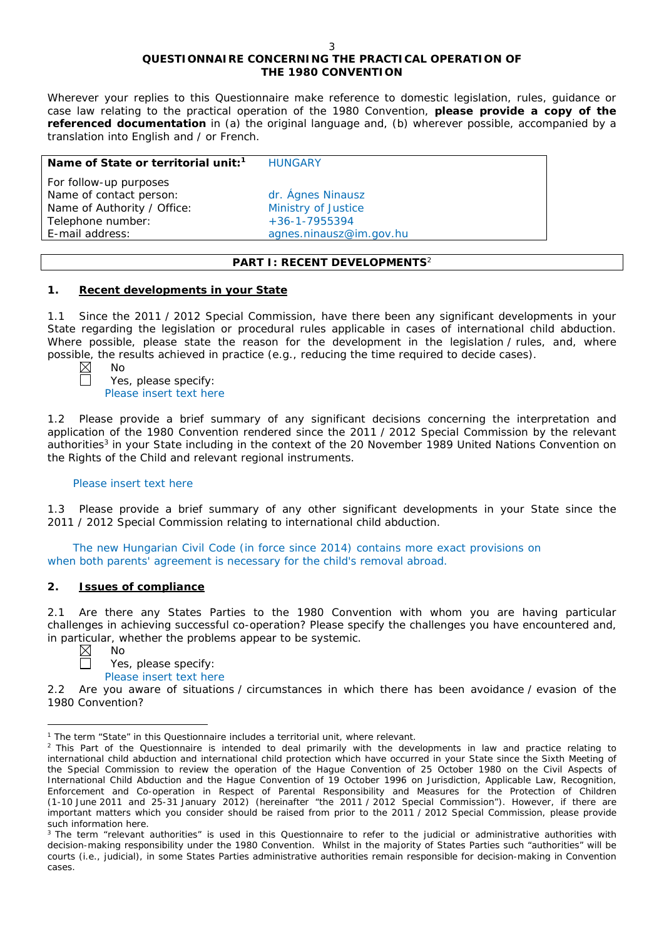# **QUESTIONNAIRE CONCERNING THE PRACTICAL OPERATION OF THE 1980 CONVENTION**

*Wherever your replies to this Questionnaire make reference to domestic legislation, rules, guidance or case law relating to the practical operation of the 1980 Convention, please provide a copy of the referenced documentation in (a) the original language and, (b) wherever possible, accompanied by a translation into English and / or French.* 

| Name of State or territorial unit: <sup>1</sup>   | <b>HUNGARY</b>          |
|---------------------------------------------------|-------------------------|
| For follow-up purposes<br>Name of contact person: | dr. Ágnes Ninausz       |
| Name of Authority / Office:                       | Ministry of Justice     |
| Telephone number:                                 | $+36 - 1 - 7955394$     |
| E-mail address:                                   | agnes.ninausz@im.gov.hu |
|                                                   |                         |

# **PART I: RECENT DEVELOPMENTS**<sup>2</sup>

# **1. Recent developments in your State**

1.1 Since the 2011 / 2012 Special Commission, have there been any significant developments in your State regarding the legislation or procedural rules applicable in cases of international child abduction. Where possible, please state the reason for the development in the legislation / rules, and, where possible, the results achieved in practice (*e.g.*, reducing the time required to decide cases). No

Yes, please specify: Please insert text here

1.2 Please provide a brief summary of any significant decisions concerning the interpretation and application of the 1980 Convention rendered since the 2011 / 2012 Special Commission by the relevant authorities<sup>3</sup> in your State including in the context of the 20 November 1989 United Nations Convention on the Rights of the Child and relevant regional instruments.

### Please insert text here

1.3 Please provide a brief summary of any other significant developments in your State since the 2011 / 2012 Special Commission relating to international child abduction.

The new Hungarian Civil Code (in force since 2014) contains more exact provisions on when both parents' agreement is necessary for the child's removal abroad.

### **2. Issues of compliance**

No

2.1 Are there any States Parties to the 1980 Convention with whom you are having particular challenges in achieving successful co-operation? Please specify the challenges you have encountered and, in particular, whether the problems appear to be systemic.

 $\boxtimes$  $\Box$ 

# Yes, please specify:

Please insert text here

2.2 Are you aware of situations / circumstances in which there has been avoidance / evasion of the 1980 Convention?

 $\overline{a}$ <sup>1</sup> The term "State" in this Questionnaire includes a territorial unit, where relevant.

<sup>&</sup>lt;sup>2</sup> This Part of the Questionnaire is intended to deal primarily with the developments in law and practice relating to international child abduction and international child protection which have occurred in your State since the Sixth Meeting of the Special Commission to review the operation of the *Hague Convention of 25 October 1980 on the Civil Aspects of International Child Abduction* and the *Hague Convention of 19 October 1996 on Jurisdiction, Applicable Law, Recognition, Enforcement and Co-operation in Respect of Parental Responsibility and Measures for the Protection of Children* (1-10 June 2011 and 25-31 January 2012) (hereinafter "the 2011 / 2012 Special Commission"). However, if there are important matters which you consider should be raised from *prior to* the 2011 / 2012 Special Commission, please provide such information here.

<sup>&</sup>lt;sup>3</sup> The term "relevant authorities" is used in this Questionnaire to refer to the judicial or administrative authorities with decision-making responsibility under the 1980 Convention. Whilst in the majority of States Parties such "authorities" will be courts (*i.e.*, judicial), in some States Parties administrative authorities remain responsible for decision-making in Convention cases.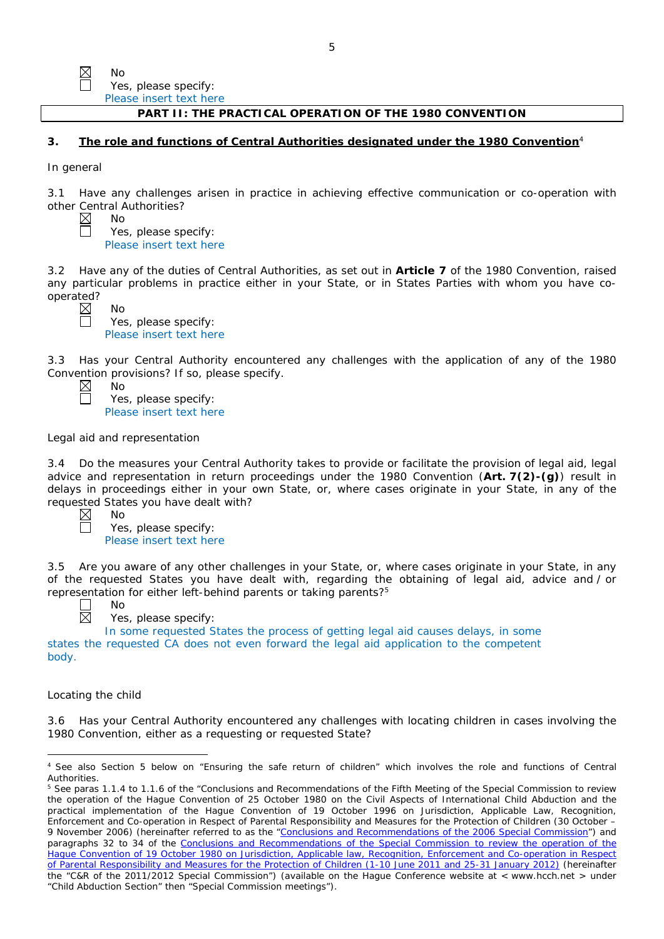| Nο                      |
|-------------------------|
| Yes, please specify:    |
| Please insert text here |

### **PART II: THE PRACTICAL OPERATION OF THE 1980 CONVENTION**

### **3. The role and functions of Central Authorities designated under the 1980 Convention**<sup>4</sup>

*In general*

 $\mathbb N$ 

3.1 Have any challenges arisen in practice in achieving effective communication or co-operation with other Central Authorities?

| ⊠      | Nο                      |
|--------|-------------------------|
| $\Box$ | Yes, please specify:    |
|        | Please insert text here |

3.2 Have any of the duties of Central Authorities, as set out in **Article 7** of the 1980 Convention, raised any particular problems in practice either in your State, or in States Parties with whom you have cooperated?

| - | - | ٠ |  |
|---|---|---|--|
|   |   |   |  |
|   |   |   |  |
|   |   |   |  |
|   |   |   |  |
|   |   |   |  |
|   |   |   |  |
|   |   |   |  |
|   |   |   |  |

No Yes, please specify: Please insert text here

3.3 Has your Central Authority encountered any challenges with the application of any of the 1980 Convention provisions? If so, please specify.<br>  $\boxtimes$  No<br>  $\Box$  Yes, please specify:

| ◁ | Nο                      |
|---|-------------------------|
| コ | Yes, please specify:    |
|   | Please insert text here |

### *Legal aid and representation*

No

3.4 Do the measures your Central Authority takes to provide or facilitate the provision of legal aid, legal advice and representation in return proceedings under the 1980 Convention (**Art. 7(2)-(g)**) result in delays in proceedings either in your own State, or, where cases originate in your State, in any of the requested States you have dealt with?

Yes, please specify: Please insert text here

3.5 Are you aware of any other challenges in your State, or, where cases originate in your State, in any of the requested States you have dealt with, regarding the obtaining of legal aid, advice and / or representation for either left-behind parents or taking parents?5 No



Yes, please specify:

In some requested States the process of getting legal aid causes delays, in some states the requested CA does not even forward the legal aid application to the competent body.

#### *Locating the child*

 $\overline{a}$ 

3.6 Has your Central Authority encountered any challenges with locating children in cases involving the 1980 Convention, either as a requesting or requested State?

<sup>4</sup> See also Section 5 below on "Ensuring the safe return of children" which involves the role and functions of Central **Authorities** 

<sup>&</sup>lt;sup>5</sup> See paras 1.1.4 to 1.1.6 of the "Conclusions and Recommendations of the Fifth Meeting of the Special Commission to review the operation of the *Hague Convention of 25 October 1980 on the Civil Aspects of International Child Abduction* and the practical implementation of the *Hague Convention of 19 October 1996 on Jurisdiction, Applicable Law, Recognition, Enforcement and Co-operation in Respect of Parental Responsibility and Measures for the Protection of Children* (30 October – 9 November 2006) (hereinafter referred to as the ["Conclusions and Recommendations of the 2006 Special Commission"](https://assets.hcch.net/upload/concl28sc5_e.pdf)) and paragraphs 32 to 34 of the [Conclusions and Recommendations of the Special Commission](https://assets.hcch.net/upload/wop/concl28sc6_e.pdf) to review the operation of the Hague Convention of *[19 October 1980 on Jurisdiction, Applicable law, Recognition, Enforcement and Co-operation in Respect](https://assets.hcch.net/upload/wop/concl28sc6_e.pdf)  [of Parental Responsibility and Measures for the Protection of Children](https://assets.hcch.net/upload/wop/concl28sc6_e.pdf)* (1-10 June 2011 and 25-31 January 2012) (hereinafter the "C&R of the 2011/2012 Special Commission") (available on the Hague Conference website at < www.hcch.net > under "Child Abduction Section" then "Special Commission meetings").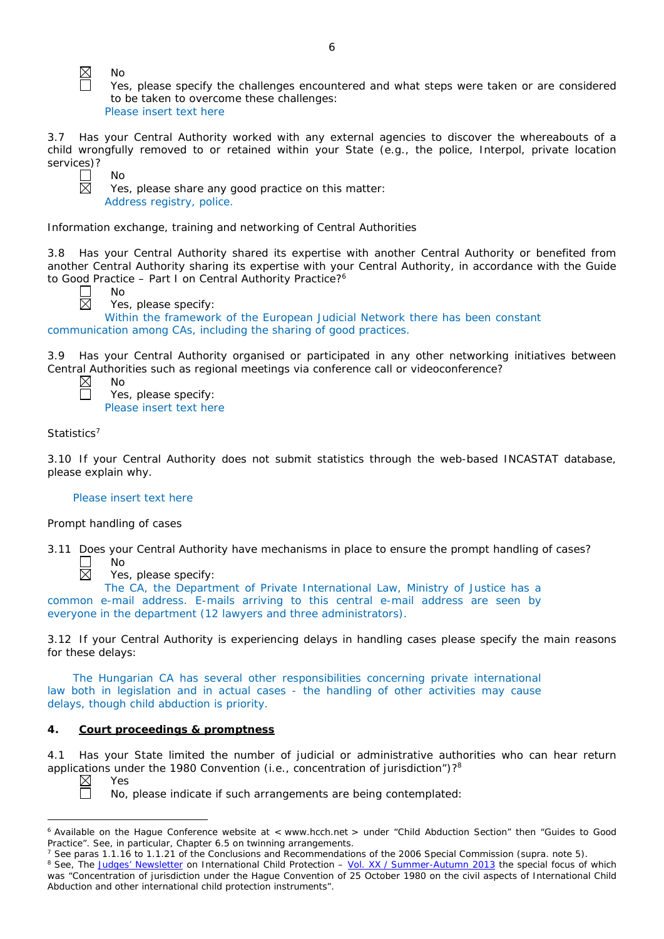No

No

No

Yes, please specify the challenges encountered and what steps were taken or are considered to be taken to overcome these challenges:

Please insert text here

3.7 Has your Central Authority worked with any external agencies to discover the whereabouts of a child wrongfully removed to or retained within your State (*e.g.*, the police, Interpol, private location services)?

Yes, please share any good practice on this matter: Address registry, police.

*Information exchange, training and networking of Central Authorities*

3.8 Has your Central Authority shared its expertise with another Central Authority or benefited from another Central Authority sharing its expertise with your Central Authority, in accordance with the Guide to Good Practice – Part I on Central Authority Practice?<sup>6</sup>



Yes, please specify:

Within the framework of the European Judicial Network there has been constant communication among CAs, including the sharing of good practices.

3.9 Has your Central Authority organised or participated in any other networking initiatives between Central Authorities such as regional meetings via conference call or videoconference?

| Nο                      |
|-------------------------|
| Yes, please specify:    |
| Please insert text here |

# *Statistics*<sup>7</sup>

 $\boxtimes$ П

3.10 If your Central Authority does not submit statistics through the web-based INCASTAT database, please explain why.

### Please insert text here

### *Prompt handling of cases*

3.11 Does your Central Authority have mechanisms in place to ensure the prompt handling of cases? П No



Yes, please specify:

The CA, the Department of Private International Law, Ministry of Justice has a common e-mail address. E-mails arriving to this central e-mail address are seen by everyone in the department (12 lawyers and three administrators).

3.12 If your Central Authority is experiencing delays in handling cases please specify the main reasons for these delays:

The Hungarian CA has several other responsibilities concerning private international law both in legislation and in actual cases - the handling of other activities may cause delays, though child abduction is priority.

# **4. Court proceedings & promptness**

4.1 Has your State limited the number of judicial or administrative authorities who can hear return applications under the 1980 Convention (*i.e.*, concentration of jurisdiction")?<sup>8</sup><br>
N Yes

Π

Yes

No, please indicate if such arrangements are being contemplated:

 $\overline{a}$ <sup>6</sup> Available on the Hague Conference website at < www.hcch.net > under "Child Abduction Section" then "Guides to Good Practice". See, in particular, Chapter 6.5 on twinning arrangements.

<sup>7</sup> See paras 1.1.16 to 1.1.21 of the Conclusions and Recommendations of the 2006 Special Commission (*supra.* note 5). <sup>8</sup> See, *The [Judges' Newsletter](https://www.hcch.net/en/instruments/conventions/publications2/judges-newsletter)* on International Child Protection – Vol. XX / [Summer-Autumn 2013](https://assets.hcch.net/upload/newsletter/nl2013tome20en.pdf) the special focus of which was "Concentration of jurisdiction under the *Hague Convention of 25 October 1980 on the civil aspects of International Child Abduction* and other international child protection instruments".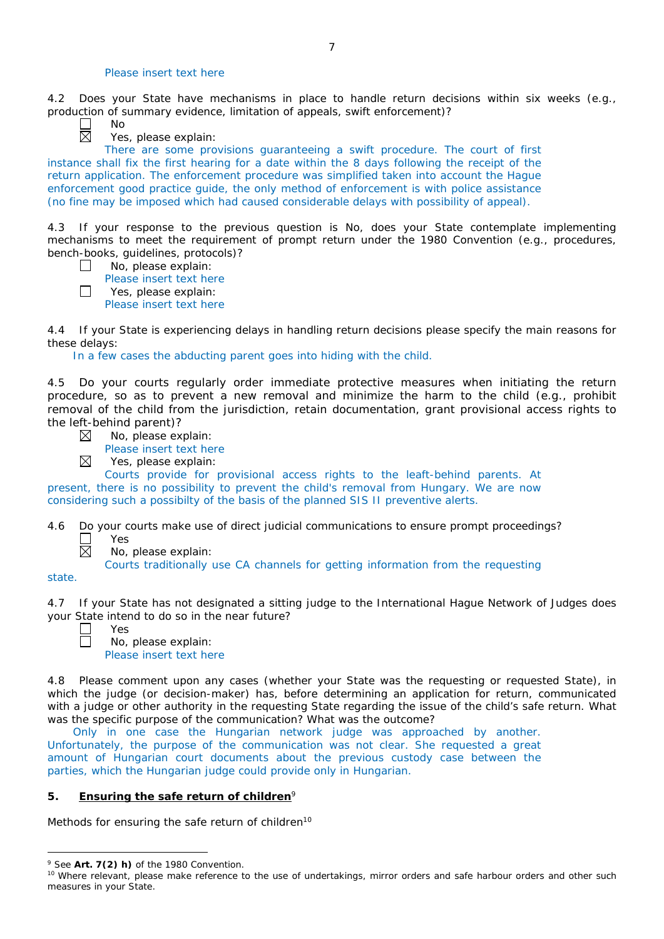### Please insert text here

4.2 Does your State have mechanisms in place to handle return decisions within six weeks (*e.g.*, production of summary evidence, limitation of appeals, swift enforcement)?

No

Yes, please explain:

There are some provisions guaranteeing a swift procedure. The court of first instance shall fix the first hearing for a date within the 8 days following the receipt of the return application. The enforcement procedure was simplified taken into account the Hague enforcement good practice guide, the only method of enforcement is with police assistance (no fine may be imposed which had caused considerable delays with possibility of appeal).

4.3 If your response to the previous question is No, does your State contemplate implementing mechanisms to meet the requirement of prompt return under the 1980 Convention (*e.g.*, procedures, bench-books, guidelines, protocols)?

- $\Box$ No, please explain:
- Please insert text here  $\Box$

Yes, please explain: Please insert text here

4.4 If your State is experiencing delays in handling return decisions please specify the main reasons for these delays:

In a few cases the abducting parent goes into hiding with the child.

4.5 Do your courts regularly order immediate protective measures when initiating the return procedure, so as to prevent a new removal and minimize the harm to the child (*e.g.*, prohibit removal of the child from the jurisdiction, retain documentation, grant provisional access rights to the left-behind parent)?

- No, please explain: ⊠
	- Please insert text here
- $\boxtimes$ Yes, please explain:

Courts provide for provisional access rights to the leaft-behind parents. At present, there is no possibility to prevent the child's removal from Hungary. We are now considering such a possibilty of the basis of the planned SIS II preventive alerts.

4.6 Do your courts make use of direct judicial communications to ensure prompt proceedings?  $\Box$ Yes

No, please explain:

Courts traditionally use CA channels for getting information from the requesting

state.

 $\overline{a}$ 

4.7 If your State has not designated a sitting judge to the International Hague Network of Judges does your State intend to do so in the near future?

 $\boxtimes$ 

Yes

No, please explain: Please insert text here

4.8 Please comment upon any cases (whether your State was the requesting or requested State), in which the judge (or decision-maker) has, before determining an application for return, communicated with a judge or other authority in the requesting State regarding the issue of the child's safe return. What was the specific purpose of the communication? What was the outcome?

Only in one case the Hungarian network judge was approached by another. Unfortunately, the purpose of the communication was not clear. She requested a great amount of Hungarian court documents about the previous custody case between the parties, which the Hungarian judge could provide only in Hungarian.

# **5. Ensuring the safe return of children**<sup>9</sup>

*Methods for ensuring the safe return of children*<sup>10</sup>

<sup>9</sup> See **Art. 7(2)** *h)* of the 1980 Convention.

<sup>&</sup>lt;sup>10</sup> Where relevant, please make reference to the use of undertakings, mirror orders and safe harbour orders and other such measures in your State.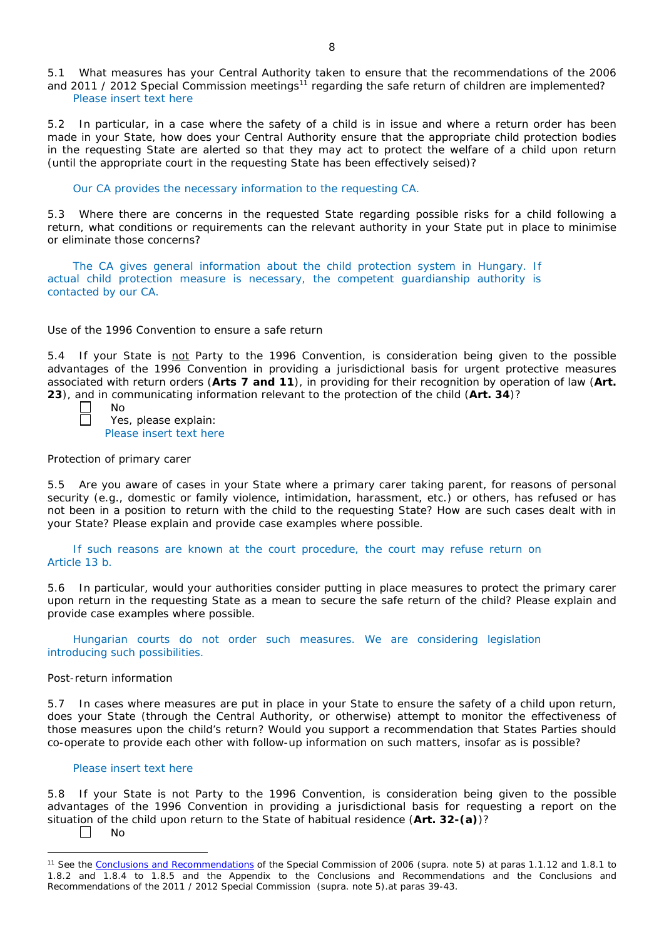5.1 What measures has your Central Authority taken to ensure that the recommendations of the 2006 and 2011 / 2012 Special Commission meetings<sup>11</sup> regarding the safe return of children are implemented? Please insert text here

5.2 In particular, in a case where the safety of a child is in issue and where a return order has been made in your State, how does your Central Authority ensure that the appropriate child protection bodies in the *requesting* State are alerted so that they may act to protect the welfare of a child upon return (until the appropriate court in the requesting State has been effectively seised)?

Our CA provides the necessary information to the requesting CA.

5.3 Where there are concerns in the requested State regarding possible risks for a child following a return, what conditions or requirements can the relevant authority in your State put in place to minimise or eliminate those concerns?

The CA gives general information about the child protection system in Hungary. If actual child protection measure is necessary, the competent guardianship authority is contacted by our CA.

### *Use of the 1996 Convention to ensure a safe return*

5.4 If your State is not Party to the 1996 Convention, is consideration being given to the possible advantages of the 1996 Convention in providing a jurisdictional basis for urgent protective measures associated with return orders (**Arts 7 and 11**), in providing for their recognition by operation of law (**Art. 23**), and in communicating information relevant to the protection of the child (**Art. 34**)?

Yes, please explain: Please insert text here

### *Protection of primary carer*

No

5.5 Are you aware of cases in your State where a primary carer taking parent, for reasons of personal security (*e.g.*, domestic or family violence, intimidation, harassment, etc.) or others, has refused or has not been in a position to return with the child to the requesting State? How are such cases dealt with in your State? Please explain and provide case examples where possible.

If such reasons are known at the court procedure, the court may refuse return on Article 13 b.

5.6 In particular, would your authorities consider putting in place measures to protect the primary carer upon return in the requesting State as a mean to secure the safe return of the child? Please explain and provide case examples where possible.

Hungarian courts do not order such measures. We are considering legislation introducing such possibilities.

#### *Post-return information*

5.7 In cases where measures are put in place in your State to ensure the safety of a child upon return, does your State (through the Central Authority, or otherwise) attempt to monitor the effectiveness of those measures upon the child's return? Would you support a recommendation that States Parties should co-operate to provide each other with follow-up information on such matters, insofar as is possible?

#### Please insert text here

5.8 If your State is not Party to the 1996 Convention, is consideration being given to the possible advantages of the 1996 Convention in providing a jurisdictional basis for requesting a report on the situation of the child upon return to the State of habitual residence (**Art. 32-(a)**)? No

 $\Box$ 

 $\overline{a}$ 

<sup>11</sup> See the [Conclusions and Recommendations](https://assets.hcch.net/upload/concl28sc5_e.pdf) of the Special Commission of 2006 (*supra.* note 5) at paras 1.1.12 and 1.8.1 to 1.8.2 and 1.8.4 to 1.8.5 and the Appendix to the Conclusions and Recommendations and the [Conclusions and](https://assets.hcch.net/upload/wop/concl28sc6_e.pdf)  [Recommendations of the 2011](https://assets.hcch.net/upload/wop/concl28sc6_e.pdf) / 2012 Special Commission (*supra.* note 5).at paras 39-43.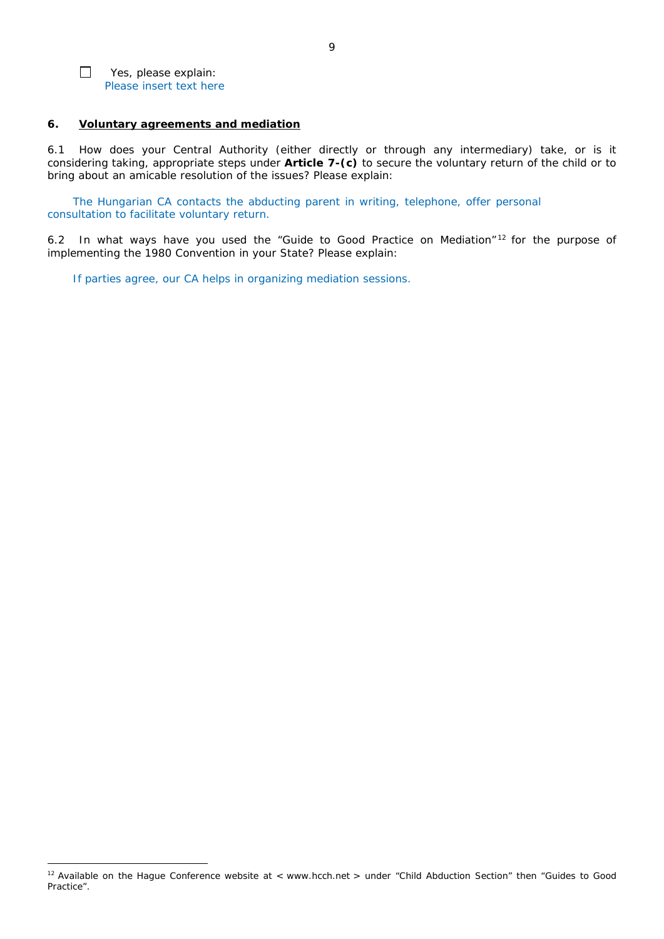

 $\overline{a}$ 

### **6. Voluntary agreements and mediation**

6.1 How does your Central Authority (either directly or through any intermediary) take, or is it considering taking, appropriate steps under **Article 7-(c)** to secure the voluntary return of the child or to bring about an amicable resolution of the issues? Please explain:

The Hungarian CA contacts the abducting parent in writing, telephone, offer personal consultation to facilitate voluntary return.

6.2 In what ways have you used the "Guide to Good Practice on Mediation" <sup>12</sup> for the purpose of implementing the 1980 Convention in your State? Please explain:

If parties agree, our CA helps in organizing mediation sessions.

<sup>&</sup>lt;sup>12</sup> Available on the Hague Conference website at < www.hcch.net > under "Child Abduction Section" then "Guides to Good Practice".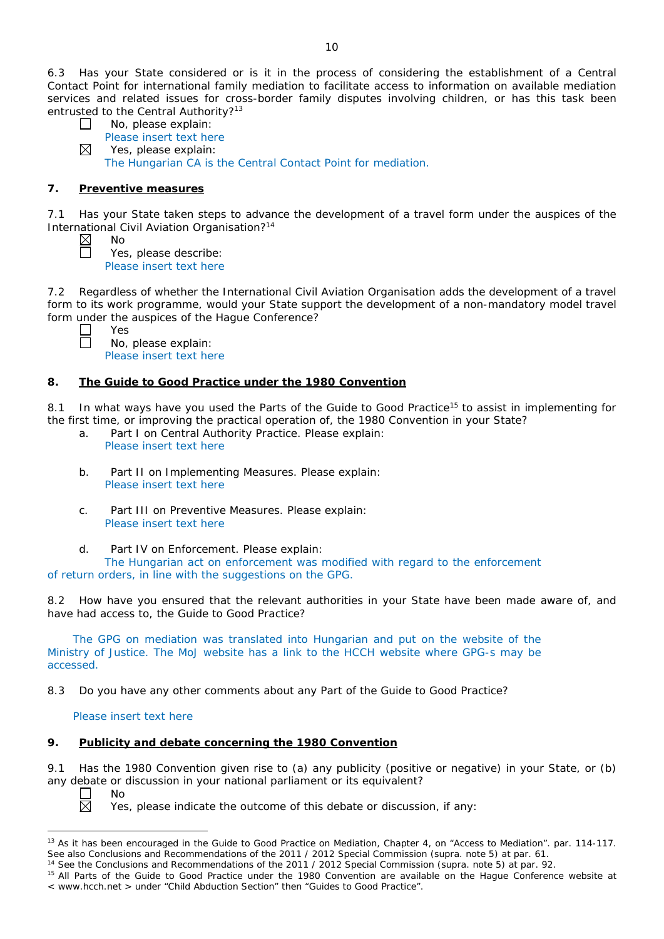6.3 Has your State considered or is it in the process of considering the establishment of a Central Contact Point for international family mediation to facilitate access to information on available mediation services and related issues for cross-border family disputes involving children, or has this task been entrusted to the Central Authority?<sup>13</sup>

| $\Box$      | No, please explain:                                          |
|-------------|--------------------------------------------------------------|
|             | Please insert text here                                      |
| $\boxtimes$ | Yes, please explain:                                         |
|             | The Hungarian CA is the Central Contact Point for mediation. |

# **7. Preventive measures**

No

7.1 Has your State taken steps to advance the development of a travel form under the auspices of the International Civil Aviation Organisation?14

Yes, please describe: Please insert text here

7.2 Regardless of whether the International Civil Aviation Organisation adds the development of a travel form to its work programme, would your State support the development of a non-mandatory model travel form under the auspices of the Hague Conference?

Yes No, please explain: Please insert text here

# **8. The Guide to Good Practice under the 1980 Convention**

8.1 In what ways have you used the Parts of the Guide to Good Practice<sup>15</sup> to assist in implementing for the first time, or improving the practical operation of, the 1980 Convention in your State?

- a. Part I on Central Authority Practice. Please explain: Please insert text here
- b. Part II on Implementing Measures. Please explain: Please insert text here
- c. Part III on Preventive Measures. Please explain: Please insert text here
- d. Part IV on Enforcement. Please explain:

The Hungarian act on enforcement was modified with regard to the enforcement of return orders, in line with the suggestions on the GPG.

8.2 How have you ensured that the relevant authorities in your State have been made aware of, and have had access to, the Guide to Good Practice?

The GPG on mediation was translated into Hungarian and put on the website of the Ministry of Justice. The MoJ website has a link to the HCCH website where GPG-s may be accessed.

8.3 Do you have any other comments about any Part of the Guide to Good Practice?

### Please insert text here

# **9. Publicity and debate concerning the 1980 Convention**

9.1 Has the 1980 Convention given rise to (a) any publicity (positive or negative) in your State, or (b) any debate or discussion in your national parliament or its equivalent?

No

岗

 $\overline{a}$ 

Yes, please indicate the outcome of this debate or discussion, if any:

<sup>&</sup>lt;sup>13</sup> As it has been encouraged in the Guide to Good Practice on Mediation, Chapter 4, on "Access to Mediation". par. 114-117. See also [Conclusions and Recommendations of the 2011](https://assets.hcch.net/upload/wop/concl28sc6_e.pdf) / 2012 Special Commission (*supra.* note 5) at par. 61.

<sup>14</sup> See the [Conclusions and Recommendations of the 2011](https://assets.hcch.net/upload/wop/concl28sc6_e.pdf) / 2012 Special Commission (*supra.* note 5) at par. 92.

<sup>&</sup>lt;sup>15</sup> All Parts of the Guide to Good Practice under the 1980 Convention are available on the Hague Conference website at < www.hcch.net > under "Child Abduction Section" then "Guides to Good Practice".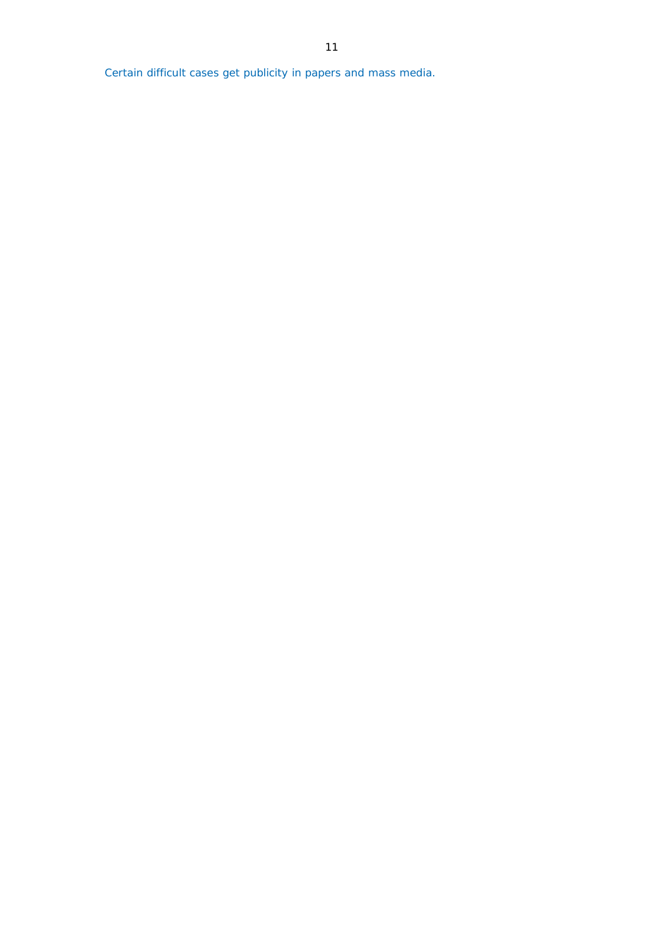Certain difficult cases get publicity in papers and mass media.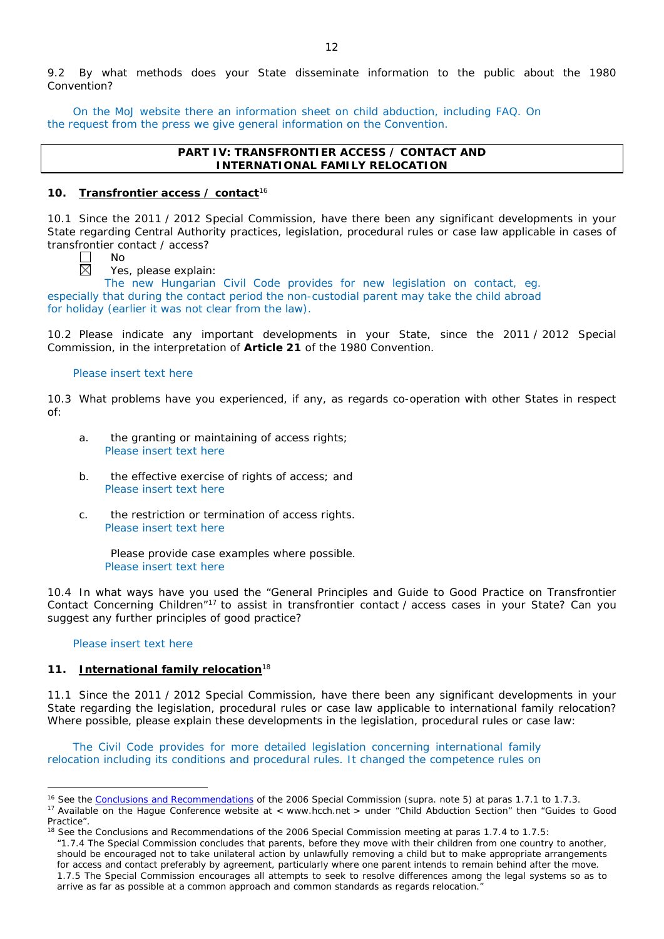9.2 By what methods does your State disseminate information to the public about the 1980 Convention?

On the MoJ website there an information sheet on child abduction, including FAQ. On the request from the press we give general information on the Convention.

# **PART IV: TRANSFRONTIER ACCESS / CONTACT AND INTERNATIONAL FAMILY RELOCATION**

### **10. Transfrontier access / contact**<sup>16</sup>

10.1 Since the 2011 / 2012 Special Commission, have there been any significant developments in your State regarding Central Authority practices, legislation, procedural rules or case law applicable in cases of transfrontier contact / access?

No

Yes, please explain:

The new Hungarian Civil Code provides for new legislation on contact, eg. especially that during the contact period the non-custodial parent may take the child abroad for holiday (earlier it was not clear from the law).

10.2 Please indicate any important developments in your State, since the 2011 / 2012 Special Commission, in the interpretation of **Article 21** of the 1980 Convention.

### Please insert text here

10.3 What problems have you experienced, if any, as regards co-operation with other States in respect of:

- a. the granting or maintaining of access rights; Please insert text here
- b. the effective exercise of rights of access; and Please insert text here
- c. the restriction or termination of access rights. Please insert text here

Please provide case examples where possible. Please insert text here

10.4 In what ways have you used the "General Principles and Guide to Good Practice on Transfrontier Contact Concerning Children"17 to assist in transfrontier contact / access cases in your State? Can you suggest any further principles of good practice?

Please insert text here

 $\overline{a}$ 

### **11. International family relocation**<sup>18</sup>

11.1 Since the 2011 / 2012 Special Commission, have there been any significant developments in your State regarding the legislation, procedural rules or case law applicable to international family relocation? Where possible, please explain these developments in the legislation, procedural rules or case law:

The Civil Code provides for more detailed legislation concerning international family relocation including its conditions and procedural rules. It changed the competence rules on

<sup>&</sup>lt;sup>16</sup> See the [Conclusions and Recommendations](https://assets.hcch.net/upload/concl28sc5_e.pdf)</u> of the 2006 Special Commission (*supra.* note 5) at paras 1.7.1 to 1.7.3.

<sup>&</sup>lt;sup>17</sup> Available on the Haque Conference website at < www.hcch.net > under "Child Abduction Section" then "Guides to Good Practice".

 $18$  See the Conclusions and Recommendations of the 2006 Special Commission meeting at paras 1.7.4 to 1.7.5:

*<sup>&</sup>quot;*1.7.4 The Special Commission concludes that parents, before they move with their children from one country to another, should be encouraged not to take unilateral action by unlawfully removing a child but to make appropriate arrangements for access and contact preferably by agreement, particularly where one parent intends to remain behind after the move. 1.7.5 The Special Commission encourages all attempts to seek to resolve differences among the legal systems so as to arrive as far as possible at a common approach and common standards as regards relocation."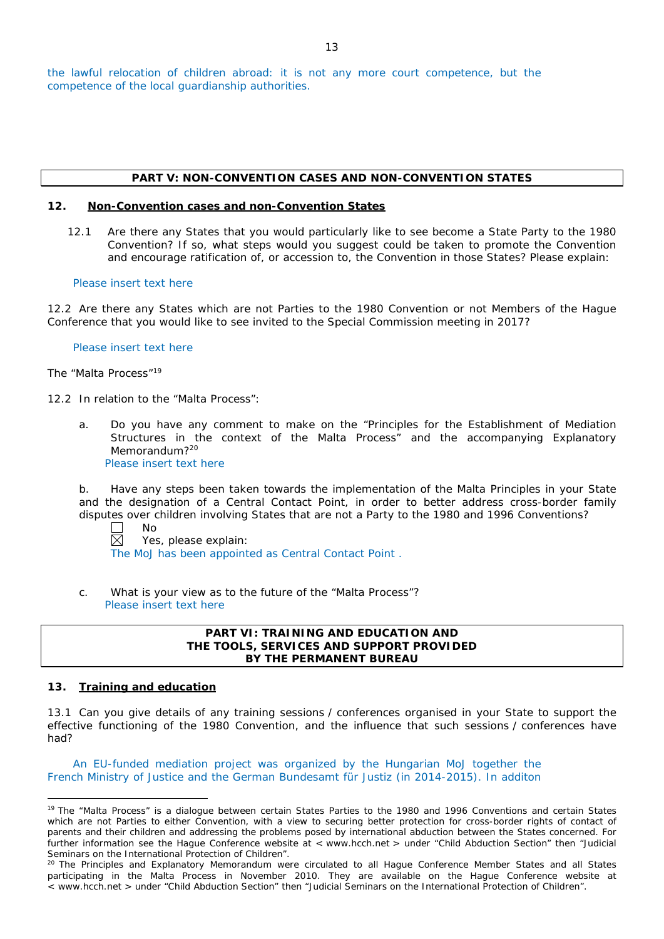### **PART V: NON-CONVENTION CASES AND NON-CONVENTION STATES**

### **12. Non-Convention cases and non-Convention States**

12.1 Are there any States that you would particularly like to see become a State Party to the 1980 Convention? If so, what steps would you suggest could be taken to promote the Convention and encourage ratification of, or accession to, the Convention in those States? Please explain:

#### Please insert text here

12.2 Are there any States which are not Parties to the 1980 Convention or not Members of the Hague Conference that you would like to see invited to the Special Commission meeting in 2017?

Please insert text here

*The "Malta Process"*<sup>19</sup>

12.2 In relation to the "Malta Process":

a. Do you have any comment to make on the "Principles for the Establishment of Mediation Structures in the context of the Malta Process" and the accompanying Explanatory Memorandum?<sup>20</sup> Please insert text here

b. Have any steps been taken towards the implementation of the Malta Principles in your State and the designation of a Central Contact Point, in order to better address cross-border family disputes over children involving States that are not a Party to the 1980 and 1996 Conventions?

 $\mathbf{L}$ 

No

 $\boxtimes$ Yes, please explain: The MoJ has been appointed as Central Contact Point .

c. What is your view as to the future of the "Malta Process"? Please insert text here

# **PART VI: TRAINING AND EDUCATION AND THE TOOLS, SERVICES AND SUPPORT PROVIDED BY THE PERMANENT BUREAU**

# **13. Training and education**

13.1 Can you give details of any training sessions / conferences organised in your State to support the effective functioning of the 1980 Convention, and the influence that such sessions / conferences have had?

An EU-funded mediation project was organized by the Hungarian MoJ together the French Ministry of Justice and the German Bundesamt für Justiz (in 2014-2015). In additon

 $\overline{a}$ <sup>19</sup> The "Malta Process" is a dialogue between certain States Parties to the 1980 and 1996 Conventions and certain States which are not Parties to either Convention, with a view to securing better protection for cross-border rights of contact of parents and their children and addressing the problems posed by international abduction between the States concerned. For further information see the Hague Conference website at < www.hcch.net > under "Child Abduction Section" then "Judicial Seminars on the International Protection of Children".

<sup>&</sup>lt;sup>20</sup> The Principles and Explanatory Memorandum were circulated to all Hague Conference Member States and all States participating in the Malta Process in November 2010. They are available on the Hague Conference website at < www.hcch.net > under "Child Abduction Section" then "Judicial Seminars on the International Protection of Children".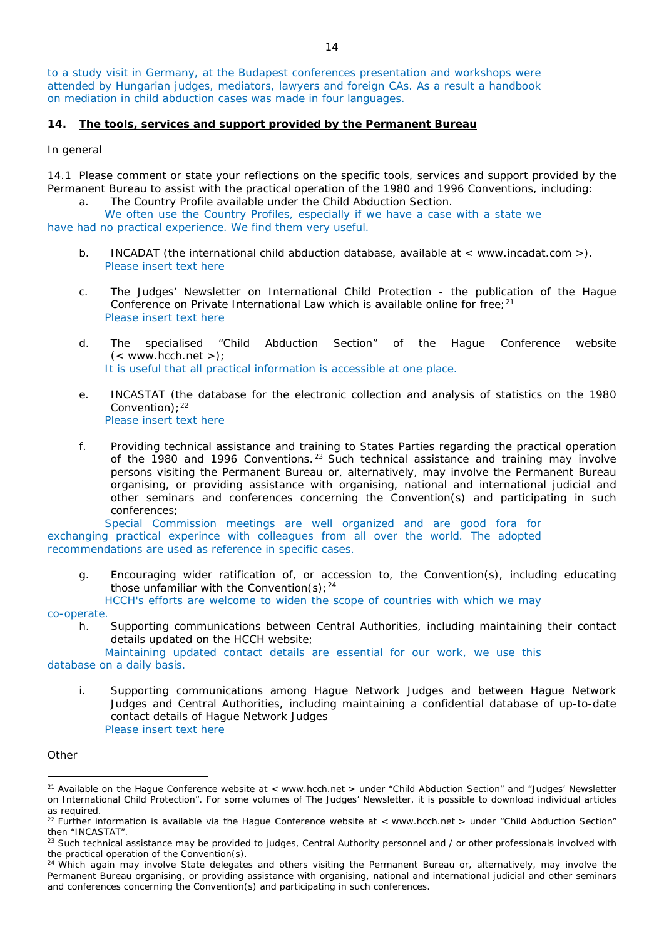to a study visit in Germany, at the Budapest conferences presentation and workshops were attended by Hungarian judges, mediators, lawyers and foreign CAs. As a result a handbook on mediation in child abduction cases was made in four languages.

#### **14. The tools, services and support provided by the Permanent Bureau**

#### *In general*

14.1 Please comment or state your reflections on the specific tools, services and support provided by the Permanent Bureau to assist with the practical operation of the 1980 and 1996 Conventions, including:

a. The Country Profile available under the Child Abduction Section.

We often use the Country Profiles, especially if we have a case with a state we have had no practical experience. We find them very useful.

- b. INCADAT (the international child abduction database, available at < www.incadat.com >). Please insert text here
- c. *The Judges' Newsletter* on International Child Protection the publication of the Hague Conference on Private International Law which is available online for free;<sup>21</sup> Please insert text here
- d. The specialised "Child Abduction Section" of the Hague Conference website  $(<$  www.hcch.net >); It is useful that all practical information is accessible at one place.
- e. INCASTAT (the database for the electronic collection and analysis of statistics on the 1980 Convention):  $22$ Please insert text here
- f. Providing technical assistance and training to States Parties regarding the practical operation of the 1980 and 1996 Conventions.<sup>23</sup> Such technical assistance and training may involve persons visiting the Permanent Bureau or, alternatively, may involve the Permanent Bureau organising, or providing assistance with organising, national and international judicial and other seminars and conferences concerning the Convention(s) and participating in such conferences;

Special Commission meetings are well organized and are good fora for exchanging practical experince with colleagues from all over the world. The adopted recommendations are used as reference in specific cases.

g. Encouraging wider ratification of, or accession to, the Convention(s), including educating those unfamiliar with the Convention(s);  $24$ 

HCCH's efforts are welcome to widen the scope of countries with which we may

#### co-operate.

h. Supporting communications between Central Authorities, including maintaining their contact details updated on the HCCH website;

Maintaining updated contact details are essential for our work, we use this database on a daily basis.

i. Supporting communications among Hague Network Judges and between Hague Network Judges and Central Authorities, including maintaining a confidential database of up-to-date contact details of Hague Network Judges

#### *Other*

 $\overline{a}$ 

Please insert text here

<sup>&</sup>lt;sup>21</sup> Available on the Hague Conference website at < www.hcch.net > under "Child Abduction Section" and "Judges' Newsletter on International Child Protection". For some volumes of *The Judges' Newsletter*, it is possible to download individual articles as required.

<sup>&</sup>lt;sup>22</sup> Further information is available via the Hague Conference website at < www.hcch.net > under "Child Abduction Section" then "INCASTAT".

<sup>&</sup>lt;sup>23</sup> Such technical assistance may be provided to judges, Central Authority personnel and / or other professionals involved with the practical operation of the Convention(s).

 $24$  Which again may involve State delegates and others visiting the Permanent Bureau or, alternatively, may involve the Permanent Bureau organising, or providing assistance with organising, national and international judicial and other seminars and conferences concerning the Convention(s) and participating in such conferences.